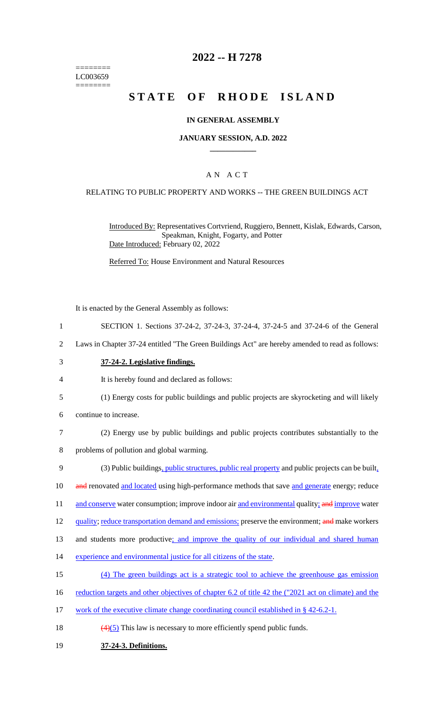======== LC003659 ========

## **2022 -- H 7278**

# **STATE OF RHODE ISLAND**

#### **IN GENERAL ASSEMBLY**

#### **JANUARY SESSION, A.D. 2022 \_\_\_\_\_\_\_\_\_\_\_\_**

#### A N A C T

#### RELATING TO PUBLIC PROPERTY AND WORKS -- THE GREEN BUILDINGS ACT

Introduced By: Representatives Cortvriend, Ruggiero, Bennett, Kislak, Edwards, Carson, Speakman, Knight, Fogarty, and Potter Date Introduced: February 02, 2022

Referred To: House Environment and Natural Resources

It is enacted by the General Assembly as follows:

- 1 SECTION 1. Sections 37-24-2, 37-24-3, 37-24-4, 37-24-5 and 37-24-6 of the General
- 2 Laws in Chapter 37-24 entitled "The Green Buildings Act" are hereby amended to read as follows:
- 3 **37-24-2. Legislative findings.**
- 4 It is hereby found and declared as follows:
- 5 (1) Energy costs for public buildings and public projects are skyrocketing and will likely
- 6 continue to increase.
- 7 (2) Energy use by public buildings and public projects contributes substantially to the
- 8 problems of pollution and global warming.
- 9 (3) Public buildings, *public structures, public real property* and public projects can be built,
- 10 and renovated and located using high-performance methods that save and generate energy; reduce
- 11 and conserve water consumption; improve indoor air and environmental quality; and improve water
- 12 quality; reduce transportation demand and emissions; preserve the environment; and make workers
- 13 and students more productive; and improve the quality of our individual and shared human
- 14 experience and environmental justice for all citizens of the state.
- 15 (4) The green buildings act is a strategic tool to achieve the greenhouse gas emission
- 16 reduction targets and other objectives of chapter 6.2 of title 42 the ("2021 act on climate) and the
- 17 work of the executive climate change coordinating council established in § 42-6.2-1.
- 18  $\left(\frac{(4)(5)}{2}\right)$  This law is necessary to more efficiently spend public funds.
- 19 **37-24-3. Definitions.**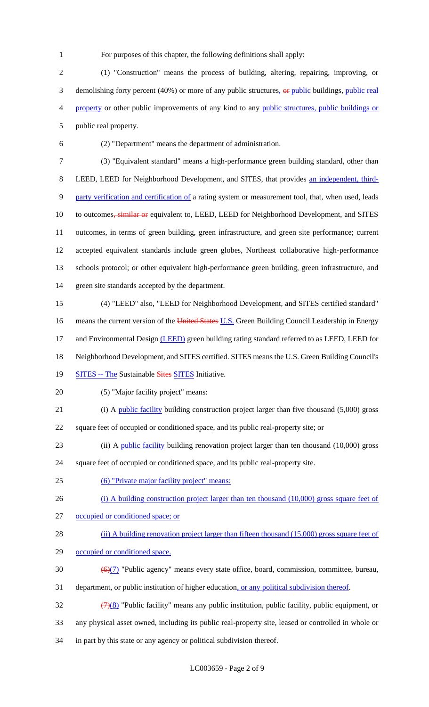For purposes of this chapter, the following definitions shall apply:

 (1) "Construction" means the process of building, altering, repairing, improving, or 3 demolishing forty percent (40%) or more of any public structures,  $\Theta$  public buildings, public real property or other public improvements of any kind to any public structures, public buildings or public real property.

(2) "Department" means the department of administration.

 (3) "Equivalent standard" means a high-performance green building standard, other than LEED, LEED for Neighborhood Development, and SITES, that provides an independent, third-9 party verification and certification of a rating system or measurement tool, that, when used, leads 10 to outcomes, similar or equivalent to, LEED, LEED for Neighborhood Development, and SITES outcomes, in terms of green building, green infrastructure, and green site performance; current accepted equivalent standards include green globes, Northeast collaborative high-performance schools protocol; or other equivalent high-performance green building, green infrastructure, and green site standards accepted by the department.

 (4) "LEED" also, "LEED for Neighborhood Development, and SITES certified standard" 16 means the current version of the United States U.S. Green Building Council Leadership in Energy 17 and Environmental Design (LEED) green building rating standard referred to as LEED, LEED for Neighborhood Development, and SITES certified. SITES means the U.S. Green Building Council's

- 19 SITES -- The Sustainable Sites SITES Initiative.
- (5) "Major facility project" means:
- 21 (i) A public facility building construction project larger than five thousand (5,000) gross
- square feet of occupied or conditioned space, and its public real-property site; or
- (ii) A public facility building renovation project larger than ten thousand (10,000) gross

square feet of occupied or conditioned space, and its public real-property site.

(6) "Private major facility project" means:

26 (i) A building construction project larger than ten thousand (10,000) gross square feet of

- occupied or conditioned space; or
- 28 (ii) A building renovation project larger than fifteen thousand (15,000) gross square feet of
- occupied or conditioned space.
- 30  $\left(\frac{\Theta(7)}{2}\right)$  "Public agency" means every state office, board, commission, committee, bureau,
- 31 department, or public institution of higher education, or any political subdivision thereof.

 $\frac{(7)(8)}{8}$  "Public facility" means any public institution, public facility, public equipment, or any physical asset owned, including its public real-property site, leased or controlled in whole or in part by this state or any agency or political subdivision thereof.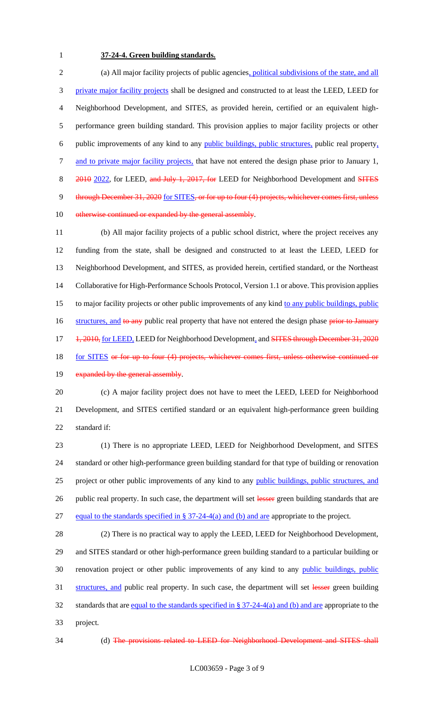## 1 **37-24-4. Green building standards.**

2 (a) All major facility projects of public agencies, political subdivisions of the state, and all 3 private major facility projects shall be designed and constructed to at least the LEED, LEED for 4 Neighborhood Development, and SITES, as provided herein, certified or an equivalent high-5 performance green building standard. This provision applies to major facility projects or other 6 public improvements of any kind to any public buildings, public structures, public real property, 7 and to private major facility projects, that have not entered the design phase prior to January 1, 8 2010 2022, for LEED, and July 1, 2017, for LEED for Neighborhood Development and SITES 9 through December 31, 2020 for SITES, or for up to four (4) projects, whichever comes first, unless 10 otherwise continued or expanded by the general assembly.

11 (b) All major facility projects of a public school district, where the project receives any 12 funding from the state, shall be designed and constructed to at least the LEED, LEED for 13 Neighborhood Development, and SITES, as provided herein, certified standard, or the Northeast 14 Collaborative for High-Performance Schools Protocol, Version 1.1 or above. This provision applies 15 to major facility projects or other public improvements of any kind to any public buildings, public 16 structures, and to any public real property that have not entered the design phase prior to January 17 +  $\frac{1}{2010}$ , for LEED, LEED for Neighborhood Development, and SITES through December 31, 2020 18 for SITES or for up to four (4) projects, whichever comes first, unless otherwise continued or

# 19 expanded by the general assembly.

20 (c) A major facility project does not have to meet the LEED, LEED for Neighborhood 21 Development, and SITES certified standard or an equivalent high-performance green building 22 standard if:

23 (1) There is no appropriate LEED, LEED for Neighborhood Development, and SITES 24 standard or other high-performance green building standard for that type of building or renovation 25 project or other public improvements of any kind to any public buildings, public structures, and 26 public real property. In such case, the department will set lesser green building standards that are 27 equal to the standards specified in § 37-24-4(a) and (b) and are appropriate to the project.

28 (2) There is no practical way to apply the LEED, LEED for Neighborhood Development, 29 and SITES standard or other high-performance green building standard to a particular building or 30 renovation project or other public improvements of any kind to any public buildings, public 31 structures, and public real property. In such case, the department will set lesser green building 32 standards that are equal to the standards specified in § 37-24-4(a) and (b) and are appropriate to the 33 project.

34 (d) The provisions related to LEED for Neighborhood Development and SITES shall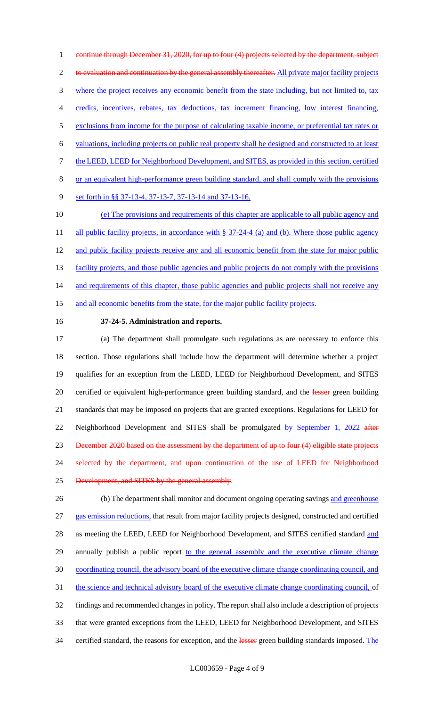1 continue through December 31, 2020, for up to four (4) projects selected by the department, subject 2 to evaluation and continuation by the general assembly thereafter. All private major facility projects 3 where the project receives any economic benefit from the state including, but not limited to, tax 4 credits, incentives, rebates, tax deductions, tax increment financing, low interest financing, 5 exclusions from income for the purpose of calculating taxable income, or preferential tax rates or 6 valuations, including projects on public real property shall be designed and constructed to at least 7 the LEED, LEED for Neighborhood Development, and SITES, as provided in this section, certified 8 or an equivalent high-performance green building standard, and shall comply with the provisions 9 set forth in §§ 37-13-4, 37-13-7, 37-13-14 and 37-13-16. 10 (e) The provisions and requirements of this chapter are applicable to all public agency and 11 all public facility projects, in accordance with § 37-24-4 (a) and (b). Where those public agency 12 and public facility projects receive any and all economic benefit from the state for major public

13 facility projects, and those public agencies and public projects do not comply with the provisions 14 and requirements of this chapter, those public agencies and public projects shall not receive any

15 and all economic benefits from the state, for the major public facility projects.

## 16 **37-24-5. Administration and reports.**

17 (a) The department shall promulgate such regulations as are necessary to enforce this 18 section. Those regulations shall include how the department will determine whether a project 19 qualifies for an exception from the LEED, LEED for Neighborhood Development, and SITES 20 certified or equivalent high-performance green building standard, and the lesser green building 21 standards that may be imposed on projects that are granted exceptions. Regulations for LEED for 22 Neighborhood Development and SITES shall be promulgated by September 1, 2022 after 23 December 2020 based on the assessment by the department of up to four (4) eligible state projects 24 selected by the department, and upon continuation of the use of LEED for Neighborhood 25 Development, and SITES by the general assembly.

26 (b) The department shall monitor and document ongoing operating savings and greenhouse 27 gas emission reductions, that result from major facility projects designed, constructed and certified 28 as meeting the LEED, LEED for Neighborhood Development, and SITES certified standard and 29 annually publish a public report to the general assembly and the executive climate change 30 coordinating council, the advisory board of the executive climate change coordinating council, and 31 the science and technical advisory board of the executive climate change coordinating council, of 32 findings and recommended changes in policy. The report shall also include a description of projects 33 that were granted exceptions from the LEED, LEED for Neighborhood Development, and SITES 34 certified standard, the reasons for exception, and the lesser green building standards imposed. The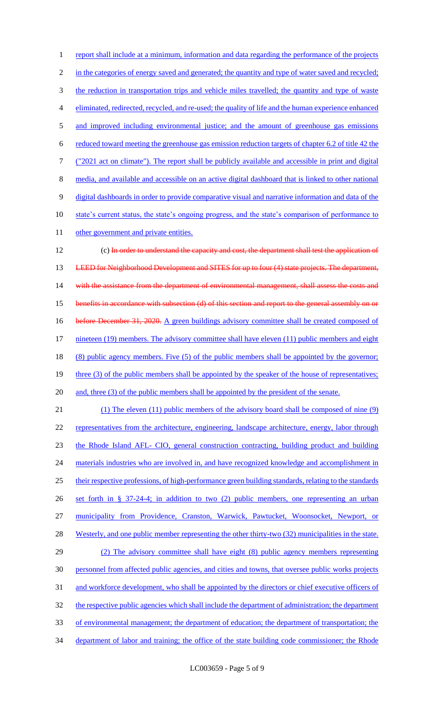1 report shall include at a minimum, information and data regarding the performance of the projects 2 in the categories of energy saved and generated; the quantity and type of water saved and recycled; 3 the reduction in transportation trips and vehicle miles travelled; the quantity and type of waste 4 eliminated, redirected, recycled, and re-used; the quality of life and the human experience enhanced 5 and improved including environmental justice; and the amount of greenhouse gas emissions 6 reduced toward meeting the greenhouse gas emission reduction targets of chapter 6.2 of title 42 the 7 ("2021 act on climate"). The report shall be publicly available and accessible in print and digital 8 media, and available and accessible on an active digital dashboard that is linked to other national 9 digital dashboards in order to provide comparative visual and narrative information and data of the 10 state's current status, the state's ongoing progress, and the state's comparison of performance to 11 other government and private entities. 12 (c) In order to understand the capacity and cost, the department shall test the application of 13 LEED for Neighborhood Development and SITES for up to four (4) state projects. The department, 14 with the assistance from the department of environmental management, shall assess the costs and 15 benefits in accordance with subsection (d) of this section and report to the general assembly on or 16 before December 31, 2020. A green buildings advisory committee shall be created composed of 17 nineteen (19) members. The advisory committee shall have eleven (11) public members and eight 18 (8) public agency members. Five (5) of the public members shall be appointed by the governor; 19 three (3) of the public members shall be appointed by the speaker of the house of representatives; 20 and, three (3) of the public members shall be appointed by the president of the senate. 21 (1) The eleven (11) public members of the advisory board shall be composed of nine (9) 22 representatives from the architecture, engineering, landscape architecture, energy, labor through 23 the Rhode Island AFL- CIO, general construction contracting, building product and building 24 materials industries who are involved in, and have recognized knowledge and accomplishment in 25 their respective professions, of high-performance green building standards, relating to the standards 26 set forth in § 37-24-4; in addition to two (2) public members, one representing an urban 27 municipality from Providence, Cranston, Warwick, Pawtucket, Woonsocket, Newport, or 28 Westerly, and one public member representing the other thirty-two (32) municipalities in the state. 29 (2) The advisory committee shall have eight (8) public agency members representing 30 personnel from affected public agencies, and cities and towns, that oversee public works projects 31 and workforce development, who shall be appointed by the directors or chief executive officers of 32 the respective public agencies which shall include the department of administration; the department 33 of environmental management; the department of education; the department of transportation; the 34 department of labor and training; the office of the state building code commissioner; the Rhode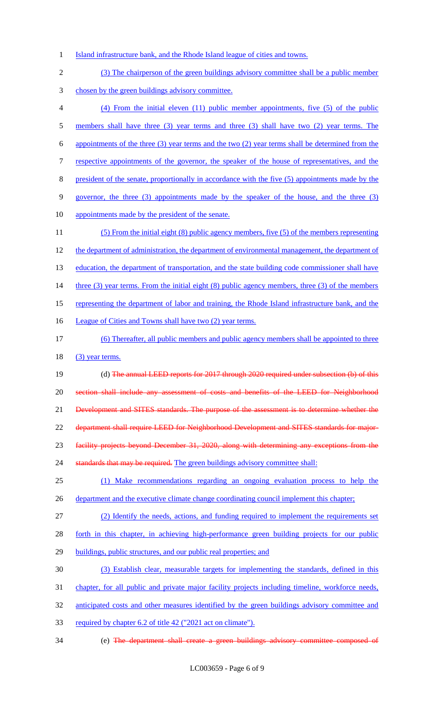- 1 Island infrastructure bank, and the Rhode Island league of cities and towns.
- 2 (3) The chairperson of the green buildings advisory committee shall be a public member 3 chosen by the green buildings advisory committee. 4 (4) From the initial eleven (11) public member appointments, five (5) of the public 5 members shall have three (3) year terms and three (3) shall have two (2) year terms. The 6 appointments of the three (3) year terms and the two (2) year terms shall be determined from the 7 respective appointments of the governor, the speaker of the house of representatives, and the 8 president of the senate, proportionally in accordance with the five (5) appointments made by the 9 governor, the three (3) appointments made by the speaker of the house, and the three (3) 10 appointments made by the president of the senate. 11 (5) From the initial eight (8) public agency members, five (5) of the members representing 12 the department of administration, the department of environmental management, the department of 13 education, the department of transportation, and the state building code commissioner shall have 14 three (3) year terms. From the initial eight (8) public agency members, three (3) of the members 15 representing the department of labor and training, the Rhode Island infrastructure bank, and the 16 League of Cities and Towns shall have two (2) year terms. 17 (6) Thereafter, all public members and public agency members shall be appointed to three  $18$  (3) year terms. 19 (d) The annual LEED reports for 2017 through 2020 required under subsection (b) of this 20 section shall include any assessment of costs and benefits of the LEED for Neighborhood 21 Development and SITES standards. The purpose of the assessment is to determine whether the 22 department shall require LEED for Neighborhood Development and SITES standards for major-23 facility projects beyond December 31, 2020, along with determining any exceptions from the 24 standards that may be required. The green buildings advisory committee shall: 25 (1) Make recommendations regarding an ongoing evaluation process to help the 26 department and the executive climate change coordinating council implement this chapter; 27 (2) Identify the needs, actions, and funding required to implement the requirements set 28 forth in this chapter, in achieving high-performance green building projects for our public 29 buildings, public structures, and our public real properties; and 30 (3) Establish clear, measurable targets for implementing the standards, defined in this 31 chapter, for all public and private major facility projects including timeline, workforce needs, 32 anticipated costs and other measures identified by the green buildings advisory committee and 33 required by chapter 6.2 of title 42 ("2021 act on climate"). 34 (e) The department shall create a green buildings advisory committee composed of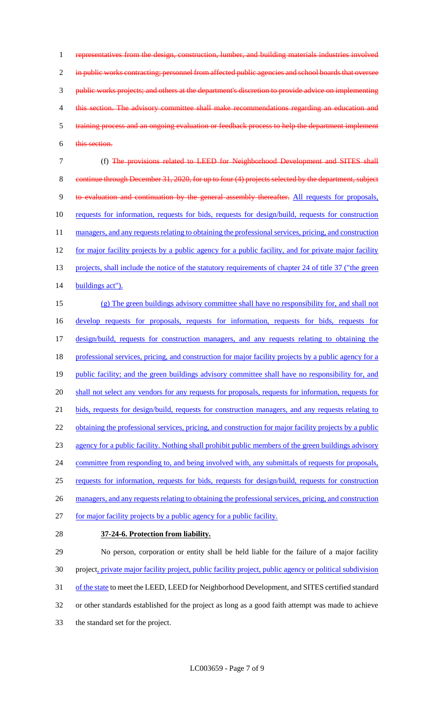representatives from the design, construction, lumber, and building materials industries involved 2 in public works contracting; personnel from affected public agencies and school boards that oversee public works projects; and others at the department's discretion to provide advice on implementing 4 this section. The advisory committee shall make recommendations regarding an education and training process and an ongoing evaluation or feedback process to help the department implement this section.

7 (f) The provisions related to LEED for Neighborhood Development and SITES shall 8 continue through December 31, 2020, for up to four (4) projects selected by the department, subject 9 to evaluation and continuation by the general assembly thereafter. All requests for proposals, 10 requests for information, requests for bids, requests for design/build, requests for construction 11 managers, and any requests relating to obtaining the professional services, pricing, and construction 12 for major facility projects by a public agency for a public facility, and for private major facility 13 projects, shall include the notice of the statutory requirements of chapter 24 of title 37 ("the green 14 buildings act").

15 (g) The green buildings advisory committee shall have no responsibility for, and shall not 16 develop requests for proposals, requests for information, requests for bids, requests for 17 design/build, requests for construction managers, and any requests relating to obtaining the 18 professional services, pricing, and construction for major facility projects by a public agency for a 19 public facility; and the green buildings advisory committee shall have no responsibility for, and 20 shall not select any vendors for any requests for proposals, requests for information, requests for 21 bids, requests for design/build, requests for construction managers, and any requests relating to 22 obtaining the professional services, pricing, and construction for major facility projects by a public 23 agency for a public facility. Nothing shall prohibit public members of the green buildings advisory 24 committee from responding to, and being involved with, any submittals of requests for proposals, 25 requests for information, requests for bids, requests for design/build, requests for construction 26 managers, and any requests relating to obtaining the professional services, pricing, and construction 27 for major facility projects by a public agency for a public facility.

#### 28 **37-24-6. Protection from liability.**

 No person, corporation or entity shall be held liable for the failure of a major facility project, private major facility project, public facility project, public agency or political subdivision 31 of the state to meet the LEED, LEED for Neighborhood Development, and SITES certified standard or other standards established for the project as long as a good faith attempt was made to achieve the standard set for the project.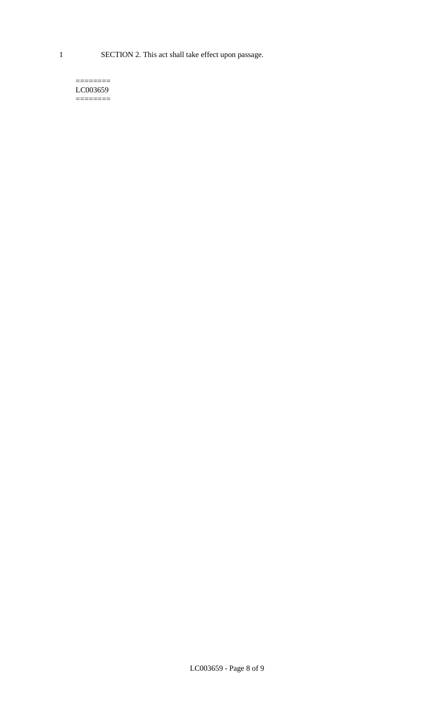1 SECTION 2. This act shall take effect upon passage.

#### $=$ LC003659  $=$